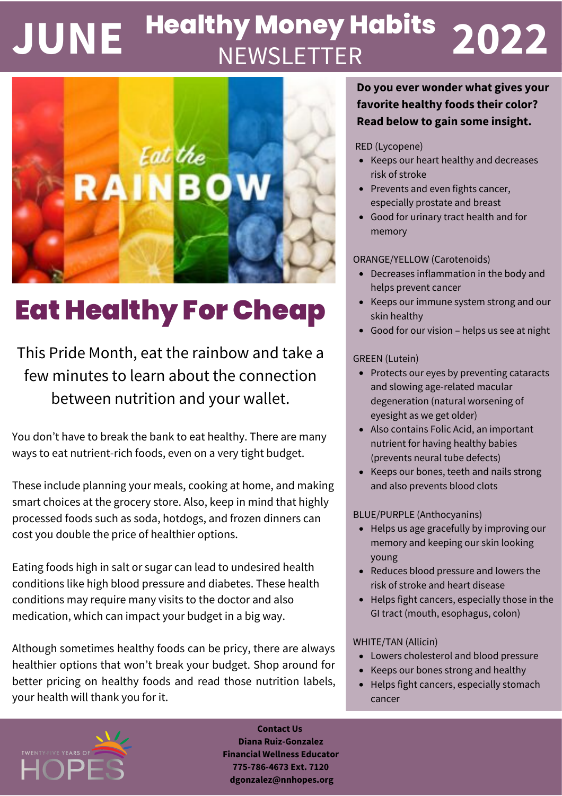# **NEWSLETTER JUNE 2022 Healthy Money Habits**



# Eat Healthy For Cheap

This Pride Month, eat the rainbow and take a few minutes to learn about the connection between nutrition and your wallet.

You don't have to break the bank to eat healthy. There are many ways to eat nutrient-rich foods, even on a very tight budget.

These include planning your meals, cooking at home, and making smart choices at the grocery store. Also, keep in mind that highly processed foods such as soda, hotdogs, and frozen dinners can cost you double the price of healthier options.

Eating foods high in salt or sugar can lead to undesired health conditions like high blood pressure and diabetes. These health conditions may require many visits to the doctor and also medication, which can impact your budget in a big way.

Although sometimes healthy foods can be pricy, there are always healthier options that won't break your budget. Shop around for better pricing on healthy foods and read those nutrition labels, your health will thank you for it.

### **Do you ever wonder what gives your favorite healthy foods their color? Read below to gain some insight.**

#### RED (Lycopene)

- Keeps our heart healthy and decreases risk of stroke
- Prevents and even fights cancer, especially prostate and breast
- Good for urinary tract health and for memory

#### ORANGE/YELLOW (Carotenoids)

- Decreases inflammation in the body and helps prevent cancer
- Keeps our immune system strong and our skin healthy
- Good for our vision helps us see at night

#### GREEN (Lutein)

- Protects our eyes by preventing cataracts and slowing age-related macular degeneration (natural worsening of eyesight as we get older)
- Also contains Folic Acid, an important nutrient for having healthy babies (prevents neural tube defects)
- Keeps our bones, teeth and nails strong and also prevents blood clots

#### BLUE/PURPLE (Anthocyanins)

- Helps us age gracefully by improving our memory and keeping our skin looking young
- Reduces blood pressure and lowers the risk of stroke and heart disease
- Helps fight cancers, especially those in the GI tract (mouth, esophagus, colon)

#### WHITE/TAN (Allicin)

- Lowers cholesterol and blood pressure
- Keeps our bones strong and healthy
- $\bullet$ Helps fight cancers, especially stomach cancer



**Contact Us Diana Ruiz-Gonzalez Financial Wellness Educator 775-786-4673 Ext. 7120 [dgonzalez@nnhopes.org](mailto:dgonzalez@nnhopes.org)**